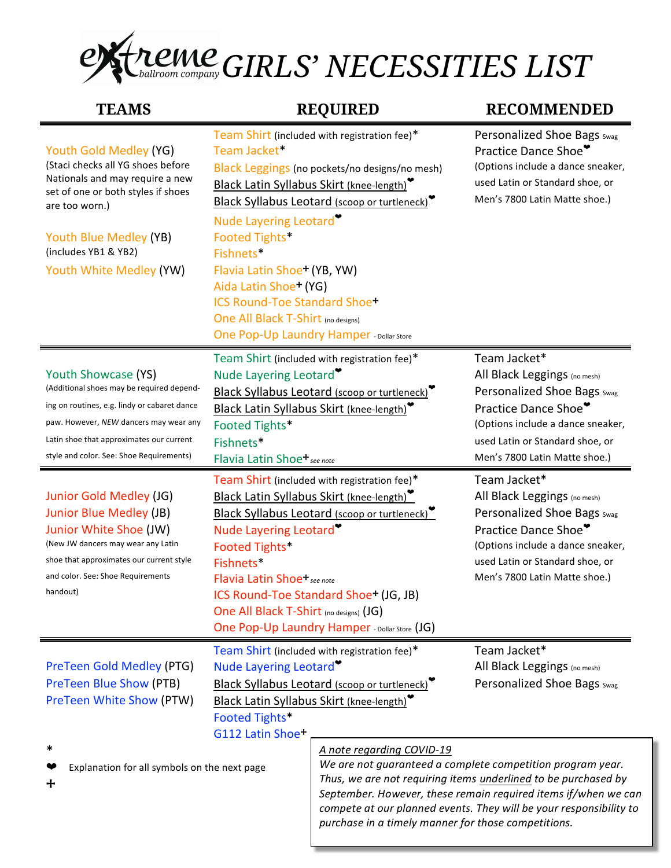## *GIRLS' NECESSITIES LIST*

| <b>TEAMS</b>                                                                                                                                           | <b>REQUIRED</b>                                                                                                                                                                                                                | <b>RECOMMENDED</b>                                                                                                                                          |
|--------------------------------------------------------------------------------------------------------------------------------------------------------|--------------------------------------------------------------------------------------------------------------------------------------------------------------------------------------------------------------------------------|-------------------------------------------------------------------------------------------------------------------------------------------------------------|
| Youth Gold Medley (YG)<br>(Staci checks all YG shoes before<br>Nationals and may require a new<br>set of one or both styles if shoes<br>are too worn.) | Team Shirt (included with registration fee)*<br>Team Jacket*<br>Black Leggings (no pockets/no designs/no mesh)<br>Black Latin Syllabus Skirt (knee-length)<br>Black Syllabus Leotard (scoop or turtleneck)                     | Personalized Shoe Bags Swag<br>Practice Dance Shoe<br>(Options include a dance sneaker,<br>used Latin or Standard shoe, or<br>Men's 7800 Latin Matte shoe.) |
| Youth Blue Medley (YB)<br>(includes YB1 & YB2)<br>Youth White Medley (YW)                                                                              | Nude Layering Leotard <sup>®</sup><br>Footed Tights*<br>Fishnets*<br>Flavia Latin Shoe <sup>+</sup> (YB, YW)<br>Aida Latin Shoe <sup>+</sup> (YG)<br><b>ICS Round-Toe Standard Shoe+</b><br>One All Black T-Shirt (no designs) |                                                                                                                                                             |

One Pop-Up Laundry Hamper - Dollar Store

| Youth Showcase (YS)<br>(Additional shoes may be required depend-<br>ing on routines, e.g. lindy or cabaret dance<br>paw. However, NEW dancers may wear any<br>Latin shoe that approximates our current<br>style and color. See: Shoe Requirements) | Nude Layering Leotard <sup>*</sup><br>Footed Tights*<br>Fishnets*<br>Flavia Latin Shoe <sup>+</sup> see note                              | Team Shirt (included with registration fee)*<br>Black Syllabus Leotard (scoop or turtleneck)<br>Black Latin Syllabus Skirt (knee-length)                                                                                           | Team Jacket*<br>All Black Leggings (no mesh)<br>Personalized Shoe Bags Swag<br>Practice Dance Shoe*<br>(Options include a dance sneaker,<br>used Latin or Standard shoe, or<br>Men's 7800 Latin Matte shoe.) |
|----------------------------------------------------------------------------------------------------------------------------------------------------------------------------------------------------------------------------------------------------|-------------------------------------------------------------------------------------------------------------------------------------------|------------------------------------------------------------------------------------------------------------------------------------------------------------------------------------------------------------------------------------|--------------------------------------------------------------------------------------------------------------------------------------------------------------------------------------------------------------|
| Junior Gold Medley (JG)<br>Junior Blue Medley (JB)<br>Junior White Shoe (JW)<br>(New JW dancers may wear any Latin<br>shoe that approximates our current style<br>and color. See: Shoe Requirements<br>handout)                                    | Nude Layering Leotard<br>Footed Tights*<br>Fishnets*<br>Flavia Latin Shoe+ <sub>see note</sub><br>One All Black T-Shirt (no designs) (JG) | Team Shirt (included with registration fee)*<br>Black Latin Syllabus Skirt (knee-length)<br>Black Syllabus Leotard (scoop or turtleneck)<br>ICS Round-Toe Standard Shoe+ (JG, JB)<br>One Pop-Up Laundry Hamper - Dollar Store (JG) | Team Jacket*<br>All Black Leggings (no mesh)<br>Personalized Shoe Bags Swag<br>Practice Dance Shoe*<br>(Options include a dance sneaker,<br>used Latin or Standard shoe, or<br>Men's 7800 Latin Matte shoe.) |
| PreTeen Gold Medley (PTG)<br><b>PreTeen Blue Show (PTB)</b><br><b>PreTeen White Show (PTW)</b><br>∗<br>Explanation for all symbols on the next page                                                                                                | Nude Layering Leotard<br>Footed Tights*<br>G112 Latin Shoe+                                                                               | Team Shirt (included with registration fee)*<br>Black Syllabus Leotard (scoop or turtleneck)<br>Black Latin Syllabus Skirt (knee-length)<br>A note regarding COVID-19                                                              | Team Jacket*<br>All Black Leggings (no mesh)<br>Personalized Shoe Bags Swag<br>We are not guaranteed a complete competition program year.                                                                    |

⧾

Thus, we are not requiring *items* underlined to be purchased by September. However, these remain required items if/when we can *compete at our planned events. They will be your responsibility to* purchase in a timely manner for those competitions.